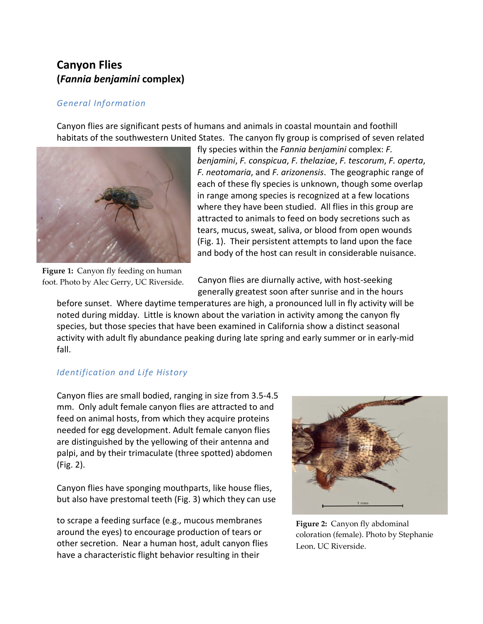# **Canyon Flies (***Fannia benjamini* **complex)**

#### *General Information*

Canyon flies are significant pests of humans and animals in coastal mountain and foothill habitats of the southwestern United States. The canyon fly group is comprised of seven related



**Figure 1:** Canyon fly feeding on human foot. Photo by Alec Gerry, UC Riverside.

fly species within the *Fannia benjamini* complex: *F. benjamini*, *F. conspicua*, *F. thelaziae*, *F. tescorum*, *F. operta*, *F. neotomaria*, and *F. arizonensis*. The geographic range of each of these fly species is unknown, though some overlap in range among species is recognized at a few locations where they have been studied. All flies in this group are attracted to animals to feed on body secretions such as tears, mucus, sweat, saliva, or blood from open wounds (Fig. 1). Their persistent attempts to land upon the face and body of the host can result in considerable nuisance.

Canyon flies are diurnally active, with host-seeking generally greatest soon after sunrise and in the hours

before sunset. Where daytime temperatures are high, a pronounced lull in fly activity will be noted during midday. Little is known about the variation in activity among the canyon fly species, but those species that have been examined in California show a distinct seasonal activity with adult fly abundance peaking during late spring and early summer or in early-mid fall.

## *Identification and Life History*

Canyon flies are small bodied, ranging in size from 3.5-4.5 mm. Only adult female canyon flies are attracted to and feed on animal hosts, from which they acquire proteins needed for egg development. Adult female canyon flies are distinguished by the yellowing of their antenna and palpi, and by their trimaculate (three spotted) abdomen (Fig. 2).

Canyon flies have sponging mouthparts, like house flies, but also have prestomal teeth (Fig. 3) which they can use

to scrape a feeding surface (e.g., mucous membranes around the eyes) to encourage production of tears or other secretion. Near a human host, adult canyon flies have a characteristic flight behavior resulting in their



**Figure 2:** Canyon fly abdominal coloration (female). Photo by Stephanie Leon, UC Riverside.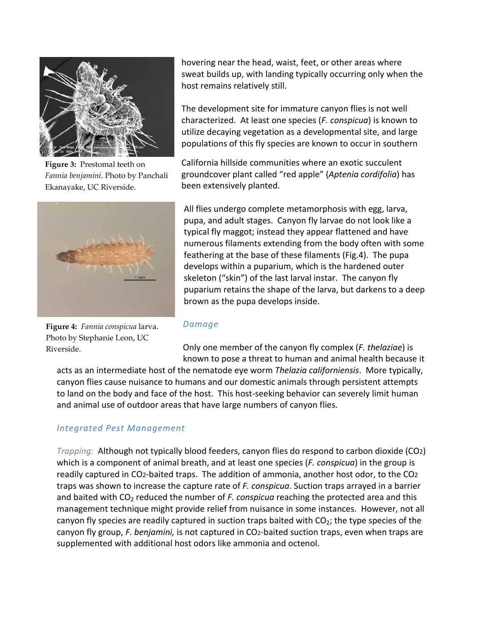

**Figure 3:** Prestomal teeth on *Fannia benjamini*. Photo by Panchali Ekanayake, UC Riverside.



**Figure 4:** *Fannia conspicua* larva. Photo by Stephanie Leon, UC Riverside.

hovering near the head, waist, feet, or other areas where sweat builds up, with landing typically occurring only when the host remains relatively still.

The development site for immature canyon flies is not well characterized. At least one species (*F. conspicua*) is known to utilize decaying vegetation as a developmental site, and large populations of this fly species are known to occur in southern

California hillside communities where an exotic succulent groundcover plant called "red apple" (*Aptenia cordifolia*) has been extensively planted.

All flies undergo complete metamorphosis with egg, larva, pupa, and adult stages. Canyon fly larvae do not look like a typical fly maggot; instead they appear flattened and have numerous filaments extending from the body often with some feathering at the base of these filaments (Fig.4). The pupa develops within a puparium, which is the hardened outer skeleton ("skin") of the last larval instar. The canyon fly puparium retains the shape of the larva, but darkens to a deep brown as the pupa develops inside.

#### *Damage*

Only one member of the canyon fly complex (*F. thelaziae*) is known to pose a threat to human and animal health because it

acts as an intermediate host of the nematode eye worm *Thelazia californiensis*. More typically, canyon flies cause nuisance to humans and our domestic animals through persistent attempts to land on the body and face of the host. This host-seeking behavior can severely limit human and animal use of outdoor areas that have large numbers of canyon flies.

## *Integrated Pest Management*

*Trapping:* Although not typically blood feeders, canyon flies do respond to carbon dioxide (CO2) which is a component of animal breath, and at least one species (*F. conspicua*) in the group is readily captured in CO2-baited traps. The addition of ammonia, another host odor, to the CO2 traps was shown to increase the capture rate of *F. conspicua*. Suction traps arrayed in a barrier and baited with CO<sub>2</sub> reduced the number of *F. conspicua* reaching the protected area and this management technique might provide relief from nuisance in some instances. However, not all canyon fly species are readily captured in suction traps baited with  $CO<sub>2</sub>$ ; the type species of the canyon fly group, *F. benjamini,* is not captured in CO2-baited suction traps, even when traps are supplemented with additional host odors like ammonia and octenol.